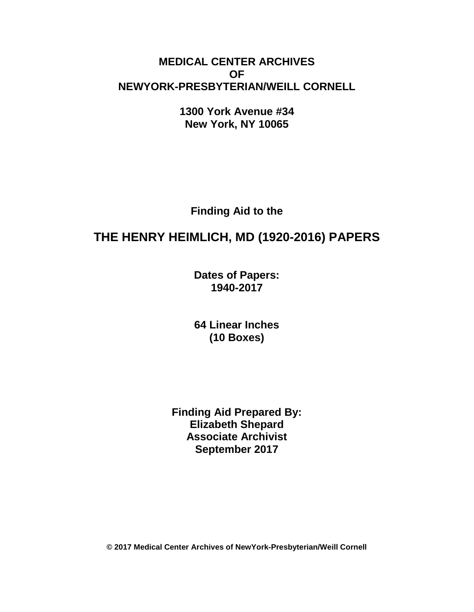# **MEDICAL CENTER ARCHIVES OF NEWYORK-PRESBYTERIAN/WEILL CORNELL**

**1300 York Avenue #34 New York, NY 10065**

**Finding Aid to the**

# **THE HENRY HEIMLICH, MD (1920-2016) PAPERS**

**Dates of Papers: 1940-2017**

**64 Linear Inches (10 Boxes)**

**Finding Aid Prepared By: Elizabeth Shepard Associate Archivist September 2017**

**© 2017 Medical Center Archives of NewYork-Presbyterian/Weill Cornell**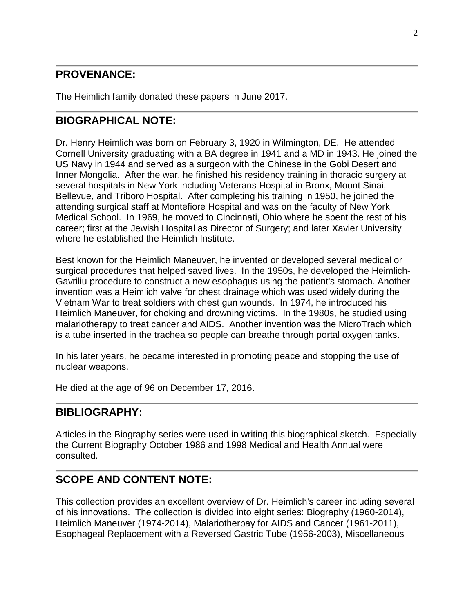# **PROVENANCE:**

The Heimlich family donated these papers in June 2017.

# **BIOGRAPHICAL NOTE:**

Dr. Henry Heimlich was born on February 3, 1920 in Wilmington, DE. He attended Cornell University graduating with a BA degree in 1941 and a MD in 1943. He joined the US Navy in 1944 and served as a surgeon with the Chinese in the Gobi Desert and Inner Mongolia. After the war, he finished his residency training in thoracic surgery at several hospitals in New York including Veterans Hospital in Bronx, Mount Sinai, Bellevue, and Triboro Hospital. After completing his training in 1950, he joined the attending surgical staff at Montefiore Hospital and was on the faculty of New York Medical School. In 1969, he moved to Cincinnati, Ohio where he spent the rest of his career; first at the Jewish Hospital as Director of Surgery; and later Xavier University where he established the Heimlich Institute.

Best known for the Heimlich Maneuver, he invented or developed several medical or surgical procedures that helped saved lives. In the 1950s, he developed the Heimlich-Gavriliu procedure to construct a new esophagus using the patient's stomach. Another invention was a Heimlich valve for chest drainage which was used widely during the Vietnam War to treat soldiers with chest gun wounds. In 1974, he introduced his Heimlich Maneuver, for choking and drowning victims. In the 1980s, he studied using malariotherapy to treat cancer and AIDS. Another invention was the MicroTrach which is a tube inserted in the trachea so people can breathe through portal oxygen tanks.

In his later years, he became interested in promoting peace and stopping the use of nuclear weapons.

He died at the age of 96 on December 17, 2016.

# **BIBLIOGRAPHY:**

Articles in the Biography series were used in writing this biographical sketch. Especially the Current Biography October 1986 and 1998 Medical and Health Annual were consulted.

# **SCOPE AND CONTENT NOTE:**

This collection provides an excellent overview of Dr. Heimlich's career including several of his innovations. The collection is divided into eight series: Biography (1960-2014), Heimlich Maneuver (1974-2014), Malariotherpay for AIDS and Cancer (1961-2011), Esophageal Replacement with a Reversed Gastric Tube (1956-2003), Miscellaneous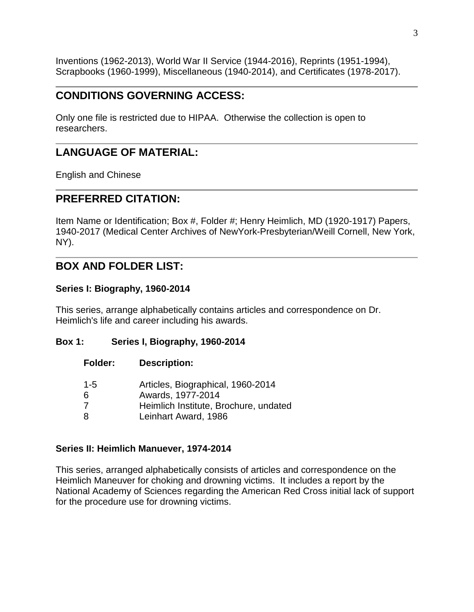Inventions (1962-2013), World War II Service (1944-2016), Reprints (1951-1994), Scrapbooks (1960-1999), Miscellaneous (1940-2014), and Certificates (1978-2017).

# **CONDITIONS GOVERNING ACCESS:**

Only one file is restricted due to HIPAA. Otherwise the collection is open to researchers.

# **LANGUAGE OF MATERIAL:**

English and Chinese

# **PREFERRED CITATION:**

Item Name or Identification; Box #, Folder #; Henry Heimlich, MD (1920-1917) Papers, 1940-2017 (Medical Center Archives of NewYork-Presbyterian/Weill Cornell, New York, NY).

# **BOX AND FOLDER LIST:**

#### **Series I: Biography, 1960-2014**

This series, arrange alphabetically contains articles and correspondence on Dr. Heimlich's life and career including his awards.

#### **Box 1: Series I, Biography, 1960-2014**

**Folder: Description:**

| $1 - 5$ | Articles, Biographical, 1960-2014     |
|---------|---------------------------------------|
| 6       | Awards, 1977-2014                     |
| 7       | Heimlich Institute, Brochure, undated |
| 8       | Leinhart Award, 1986                  |

#### **Series II: Heimlich Manuever, 1974-2014**

This series, arranged alphabetically consists of articles and correspondence on the Heimlich Maneuver for choking and drowning victims. It includes a report by the National Academy of Sciences regarding the American Red Cross initial lack of support for the procedure use for drowning victims.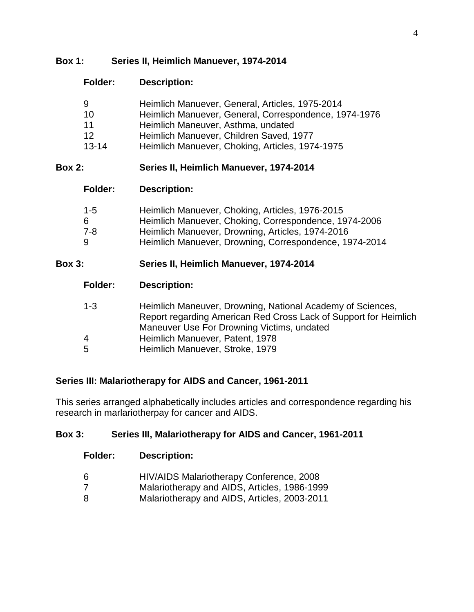# **Box 1: Series II, Heimlich Manuever, 1974-2014**

# **Folder: Description:**

| 9         | Heimlich Manuever, General, Articles, 1975-2014       |
|-----------|-------------------------------------------------------|
| 10        | Heimlich Manuever, General, Correspondence, 1974-1976 |
| 11        | Heimlich Maneuver, Asthma, undated                    |
| 12        | Heimlich Manuever, Children Saved, 1977               |
| $13 - 14$ | Heimlich Manuever, Choking, Articles, 1974-1975       |

# **Box 2: Series II, Heimlich Manuever, 1974-2014**

# **Folder: Description:**

| $1 - 5$ | Heimlich Manuever, Choking, Articles, 1976-2015        |
|---------|--------------------------------------------------------|
| 6.      | Heimlich Manuever, Choking, Correspondence, 1974-2006  |
| 7-8     | Heimlich Manuever, Drowning, Articles, 1974-2016       |
| 9       | Heimlich Manuever, Drowning, Correspondence, 1974-2014 |

# **Box 3: Series II, Heimlich Manuever, 1974-2014**

| $1 - 3$ | Heimlich Maneuver, Drowning, National Academy of Sciences,       |
|---------|------------------------------------------------------------------|
|         | Report regarding American Red Cross Lack of Support for Heimlich |
|         | Maneuver Use For Drowning Victims, undated                       |
| 4       | Heimlich Manuever, Patent, 1978                                  |
| 5       | Heimlich Manuever, Stroke, 1979                                  |

# **Series III: Malariotherapy for AIDS and Cancer, 1961-2011**

This series arranged alphabetically includes articles and correspondence regarding his research in marlariotherpay for cancer and AIDS.

# **Box 3: Series III, Malariotherapy for AIDS and Cancer, 1961-2011**

#### **Folder: Description:**

- 6 HIV/AIDS Malariotherapy Conference, 2008
- 7 Malariotherapy and AIDS, Articles, 1986-1999
- 8 Malariotherapy and AIDS, Articles, 2003-2011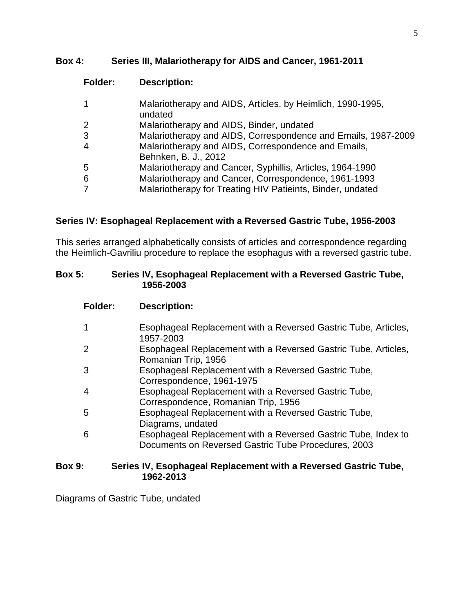#### **Box 4: Series III, Malariotherapy for AIDS and Cancer, 1961-2011**

# **Folder: Description:**

| 1 | Malariotherapy and AIDS, Articles, by Heimlich, 1990-1995,<br>undated       |
|---|-----------------------------------------------------------------------------|
| 2 | Malariotherapy and AIDS, Binder, undated                                    |
| 3 | Malariotherapy and AIDS, Correspondence and Emails, 1987-2009               |
| 4 | Malariotherapy and AIDS, Correspondence and Emails,<br>Behnken, B. J., 2012 |
| 5 | Malariotherapy and Cancer, Syphillis, Articles, 1964-1990                   |
| 6 | Malariotherapy and Cancer, Correspondence, 1961-1993                        |
| 7 | Malariotherapy for Treating HIV Patieints, Binder, undated                  |
|   |                                                                             |

# **Series IV: Esophageal Replacement with a Reversed Gastric Tube, 1956-2003**

This series arranged alphabetically consists of articles and correspondence regarding the Heimlich-Gavriliu procedure to replace the esophagus with a reversed gastric tube.

#### **Box 5: Series IV, Esophageal Replacement with a Reversed Gastric Tube, 1956-2003**

#### **Folder: Description:**

| 1 | Esophageal Replacement with a Reversed Gastric Tube, Articles,<br>1957-2003                                          |
|---|----------------------------------------------------------------------------------------------------------------------|
| 2 | Esophageal Replacement with a Reversed Gastric Tube, Articles,<br>Romanian Trip, 1956                                |
| 3 | Esophageal Replacement with a Reversed Gastric Tube,<br>Correspondence, 1961-1975                                    |
| 4 | Esophageal Replacement with a Reversed Gastric Tube,<br>Correspondence, Romanian Trip, 1956                          |
| 5 | Esophageal Replacement with a Reversed Gastric Tube,<br>Diagrams, undated                                            |
| 6 | Esophageal Replacement with a Reversed Gastric Tube, Index to<br>Documents on Reversed Gastric Tube Procedures, 2003 |

#### **Box 9: Series IV, Esophageal Replacement with a Reversed Gastric Tube, 1962-2013**

Diagrams of Gastric Tube, undated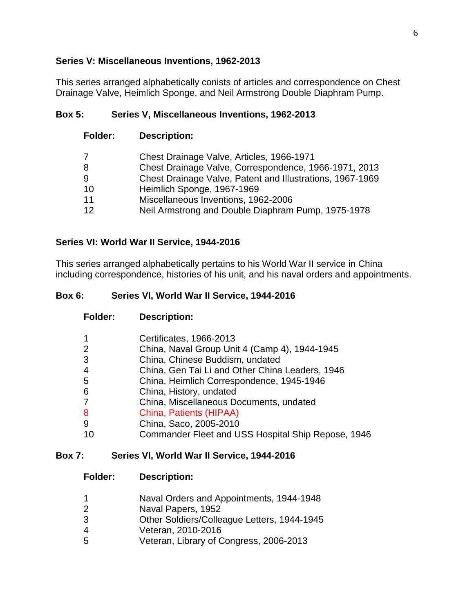#### **Series V: Miscellaneous Inventions, 1962-2013**

This series arranged alphabetically conists of articles and correspondence on Chest Drainage Valve, Heimlich Sponge, and Neil Armstrong Double Diaphram Pump.

# **Box 5: Series V, Miscellaneous Inventions, 1962-2013**

| Folder: | <b>Description:</b>                                       |
|---------|-----------------------------------------------------------|
| 7       | Chest Drainage Valve, Articles, 1966-1971                 |
| 8       | Chest Drainage Valve, Correspondence, 1966-1971, 2013     |
| 9       | Chest Drainage Valve, Patent and Illustrations, 1967-1969 |
| 10      | Heimlich Sponge, 1967-1969                                |
| 11      | Miscellaneous Inventions, 1962-2006                       |
| 12      | Neil Armstrong and Double Diaphram Pump, 1975-1978        |

# **Series VI: World War II Service, 1944-2016**

This series arranged alphabetically pertains to his World War II service in China including correspondence, histories of his unit, and his naval orders and appointments.

# **Box 6: Series VI, World War II Service, 1944-2016**

| Folder:        | <b>Description:</b>                                |
|----------------|----------------------------------------------------|
| 1              | Certificates, 1966-2013                            |
| $\overline{2}$ | China, Naval Group Unit 4 (Camp 4), 1944-1945      |
| 3              | China, Chinese Buddism, undated                    |
| 4              | China, Gen Tai Li and Other China Leaders, 1946    |
| 5              | China, Heimlich Correspondence, 1945-1946          |
| 6              | China, History, undated                            |
| 7              | China, Miscellaneous Documents, undated            |
| 8              | China, Patients (HIPAA)                            |
| 9              | China, Saco, 2005-2010                             |
|                | Commander Fleet and USS Hospital Ship Repose, 1946 |
|                |                                                    |

#### **Box 7: Series VI, World War II Service, 1944-2016**

**Folder: Description:**

- Naval Orders and Appointments, 1944-1948
- Naval Papers, 1952
- Other Soldiers/Colleague Letters, 1944-1945
- 4 Veteran, 2010-2016<br>5 Veteran, Library of C
- Veteran, Library of Congress, 2006-2013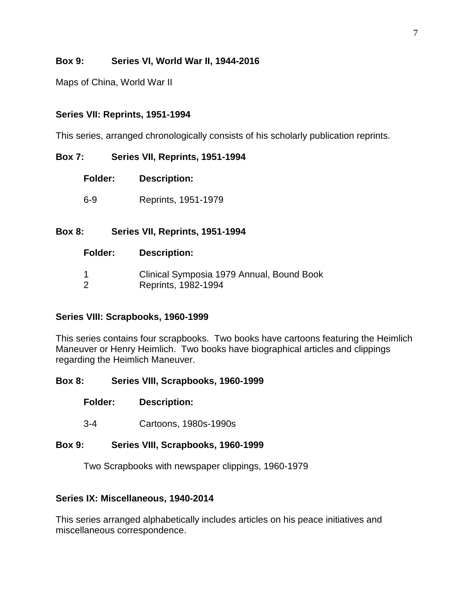# **Box 9: Series VI, World War II, 1944-2016**

Maps of China, World War II

# **Series VII: Reprints, 1951-1994**

This series, arranged chronologically consists of his scholarly publication reprints.

# **Box 7: Series VII, Reprints, 1951-1994**

- **Folder: Description:**
- 6-9 Reprints, 1951-1979

# **Box 8: Series VII, Reprints, 1951-1994**

#### **Folder: Description:**

| Clinical Symposia 1979 Annual, Bound Book |  |
|-------------------------------------------|--|
| Reprints, 1982-1994                       |  |

#### **Series VIII: Scrapbooks, 1960-1999**

This series contains four scrapbooks. Two books have cartoons featuring the Heimlich Maneuver or Henry Heimlich. Two books have biographical articles and clippings regarding the Heimlich Maneuver.

#### **Box 8: Series VIII, Scrapbooks, 1960-1999**

- **Folder: Description:**
- 3-4 Cartoons, 1980s-1990s

#### **Box 9: Series VIII, Scrapbooks, 1960-1999**

Two Scrapbooks with newspaper clippings, 1960-1979

#### **Series IX: Miscellaneous, 1940-2014**

This series arranged alphabetically includes articles on his peace initiatives and miscellaneous correspondence.